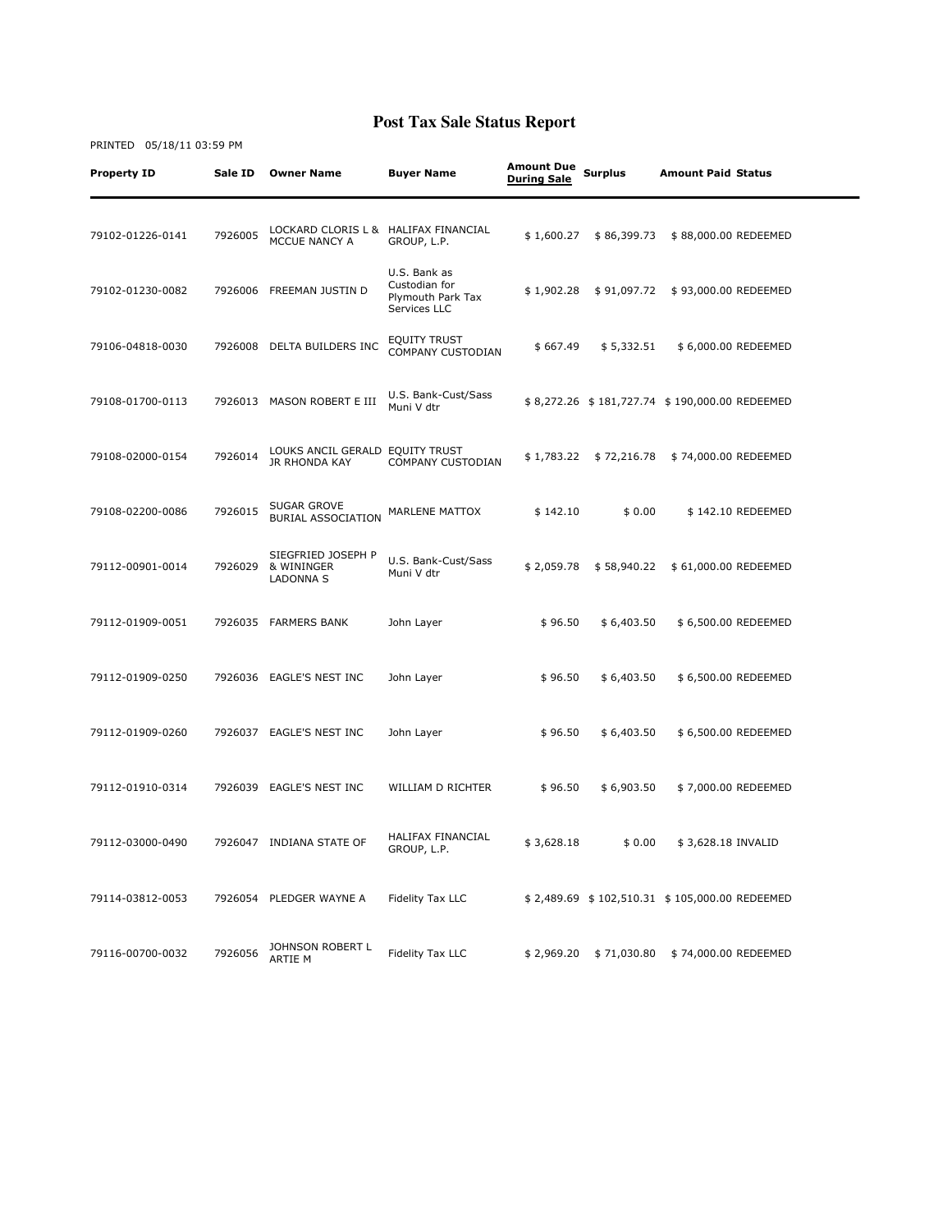# Property ID Sale ID Owner Name Buyer Name Amount Due Amount Due<br>During Sale Surplus Amount Paid Status 79102-01226-0141 7926005 LOCKARD CLORIS L & HALIFAX FINANCIAL MCCUE NANCY A HALIFAX FINANCIAL \$1,600.27 \$86,399.73 \$88,000.00 REDEEMED<br>GROUP, L.P. 79102-01230-0082 7926006 FREEMAN JUSTIN D U.S. Bank as Custodian for Plymouth Park Tax Services LLC \$ 1,902.28 \$ 91,097.72 \$ 93,000.00 REDEEMED 79106-04818-0030 7926008 DELTA BUILDERS INC EQUITY TRUST EQUITY IRUST<br>COMPANY CUSTODIAN \$667.49 \$5,332.51 \$6,000.00 REDEEMED 79108-01700-0113 7926013 MASON ROBERT E III U.S. Bank-Cust/Sass \$ 8,272.26 \$ 181,727.74 \$ 190,000.00 REDEEMED 79108-02000-0154 7926014 LOUKS ANCIL GERALD EQUITY TRUST JR RHONDA KAY LOUKS ANCIL GERALD EQUITY TRUST \$ 1,783.22 \$ 72,216.78 \$ 74,000.00 REDEEMED 79108-02200-0086 7926015 SUGAR GROVE BURIAL ASSOCIATION MARLENE MATTOX \$ 142.10 \$ 0.00 \$ 142.10 REDEEMED 79112-00901-0014 7926029 SIEGFRIED JOSEPH P & WININGER LADONNA S U.S. Bank-Cust/Sass \$ 2,059.78 \$ 58,940.22 \$ 61,000.00 REDEEMED 79112-01909-0051 7926035 FARMERS BANK John Layer \$ 96.50 \$ 6,403.50 \$ 6,500.00 REDEEMED 79112-01909-0250 7926036 EAGLE'S NEST INC John Layer \$ 96.50 \$ 6,403.50 \$ 6,500.00 REDEEMED 79112-01909-0260 7926037 EAGLE'S NEST INC John Layer \$ 96.50 \$ 6,403.50 \$ 6,500.00 REDEEMED 79112-01910-0314 7926039 EAGLE'S NEST INC WILLIAM D RICHTER \$ 96.50 \$ 6,903.50 \$ 7,000.00 REDEEMED 79112-03000-0490 7926047 INDIANA STATE OF HALIFAX FINANCIAL  $$3,628.18$   $$0.00$   $$3,628.18$  INVALID 79114-03812-0053 7926054 PLEDGER WAYNE A Fidelity Tax LLC \$ 2,489.69 \$ 102,510.31 \$ 105,000.00 REDEEMED 79116-00700-0032 7926056 JOHNSON ROBERT L Fidelity Tax LLC  $$ 2,969.20 \ $ 71,030.80 \ $ 74,000.00 \text{ REDEEMED}$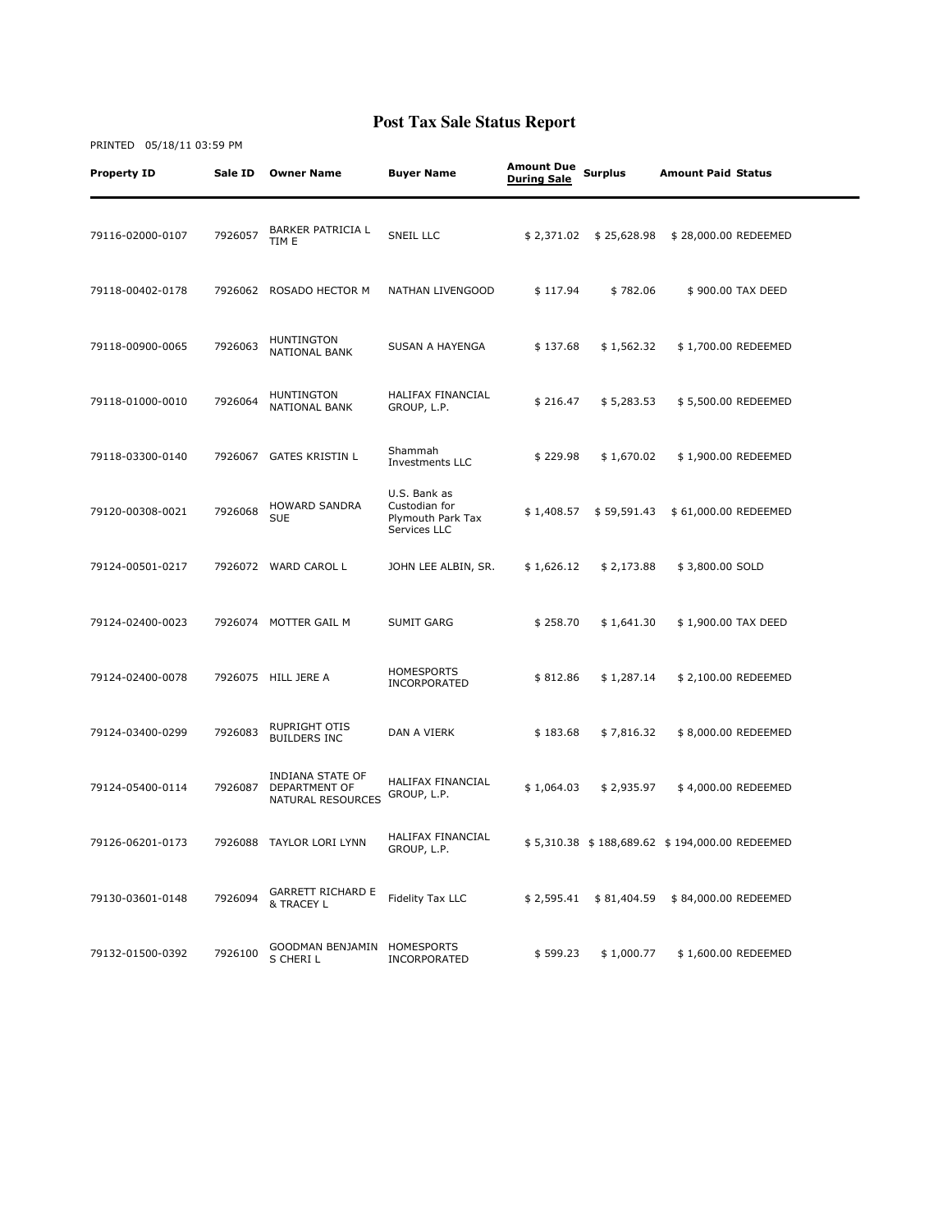| Property ID      | Sale ID | <b>Owner Name</b>                                      | <b>Buyer Name</b>                                                  | <b>Amount Due</b><br><b>During Sale</b> | <b>Surplus</b> | <b>Amount Paid Status</b>                     |  |
|------------------|---------|--------------------------------------------------------|--------------------------------------------------------------------|-----------------------------------------|----------------|-----------------------------------------------|--|
| 79116-02000-0107 | 7926057 | <b>BARKER PATRICIA L</b><br>TIM E                      | SNEIL LLC                                                          | \$2,371.02                              | \$25,628.98    | \$28,000.00 REDEEMED                          |  |
| 79118-00402-0178 |         | 7926062 ROSADO HECTOR M                                | NATHAN LIVENGOOD                                                   | \$117.94                                | \$782.06       | \$900.00 TAX DEED                             |  |
| 79118-00900-0065 | 7926063 | <b>HUNTINGTON</b><br><b>NATIONAL BANK</b>              | SUSAN A HAYENGA                                                    | \$137.68                                | \$1,562.32     | \$1,700.00 REDEEMED                           |  |
| 79118-01000-0010 | 7926064 | HUNTINGTON<br>NATIONAL BANK                            | HALIFAX FINANCIAL<br>GROUP, L.P.                                   | \$216.47                                | \$5,283.53     | \$5,500.00 REDEEMED                           |  |
| 79118-03300-0140 | 7926067 | <b>GATES KRISTIN L</b>                                 | Shammah<br>Investments LLC                                         | \$229.98                                | \$1,670.02     | \$1,900.00 REDEEMED                           |  |
| 79120-00308-0021 | 7926068 | <b>HOWARD SANDRA</b><br><b>SUE</b>                     | U.S. Bank as<br>Custodian for<br>Plymouth Park Tax<br>Services LLC | \$1,408.57                              | \$59,591.43    | \$ 61,000.00 REDEEMED                         |  |
| 79124-00501-0217 |         | 7926072 WARD CAROL L                                   | JOHN LEE ALBIN, SR.                                                | \$1,626.12                              | \$2,173.88     | \$3,800.00 SOLD                               |  |
| 79124-02400-0023 |         | 7926074 MOTTER GAIL M                                  | <b>SUMIT GARG</b>                                                  | \$258.70                                | \$1,641.30     | \$1,900.00 TAX DEED                           |  |
| 79124-02400-0078 |         | 7926075 HILL JERE A                                    | <b>HOMESPORTS</b><br>INCORPORATED                                  | \$812.86                                | \$1,287.14     | \$2,100.00 REDEEMED                           |  |
| 79124-03400-0299 | 7926083 | RUPRIGHT OTIS<br><b>BUILDERS INC</b>                   | DAN A VIERK                                                        | \$183.68                                | \$7,816.32     | \$8,000.00 REDEEMED                           |  |
| 79124-05400-0114 | 7926087 | INDIANA STATE OF<br>DEPARTMENT OF<br>NATURAL RESOURCES | HALIFAX FINANCIAL<br>GROUP, L.P.                                   | \$1,064.03                              | \$2,935.97     | \$4,000.00 REDEEMED                           |  |
| 79126-06201-0173 | 7926088 | TAYLOR LORI LYNN                                       | HALIFAX FINANCIAL<br>GROUP, L.P.                                   |                                         |                | \$5,310.38 \$188,689.62 \$194,000.00 REDEEMED |  |
| 79130-03601-0148 | 7926094 | <b>GARRETT RICHARD E</b><br>& TRACEY L                 | Fidelity Tax LLC                                                   | \$2,595.41                              | \$81,404.59    | \$84,000.00 REDEEMED                          |  |
| 79132-01500-0392 | 7926100 | GOODMAN BENJAMIN<br>S CHERI L                          | HOMESPORTS<br>INCORPORATED                                         | \$599.23                                | \$1,000.77     | \$1,600.00 REDEEMED                           |  |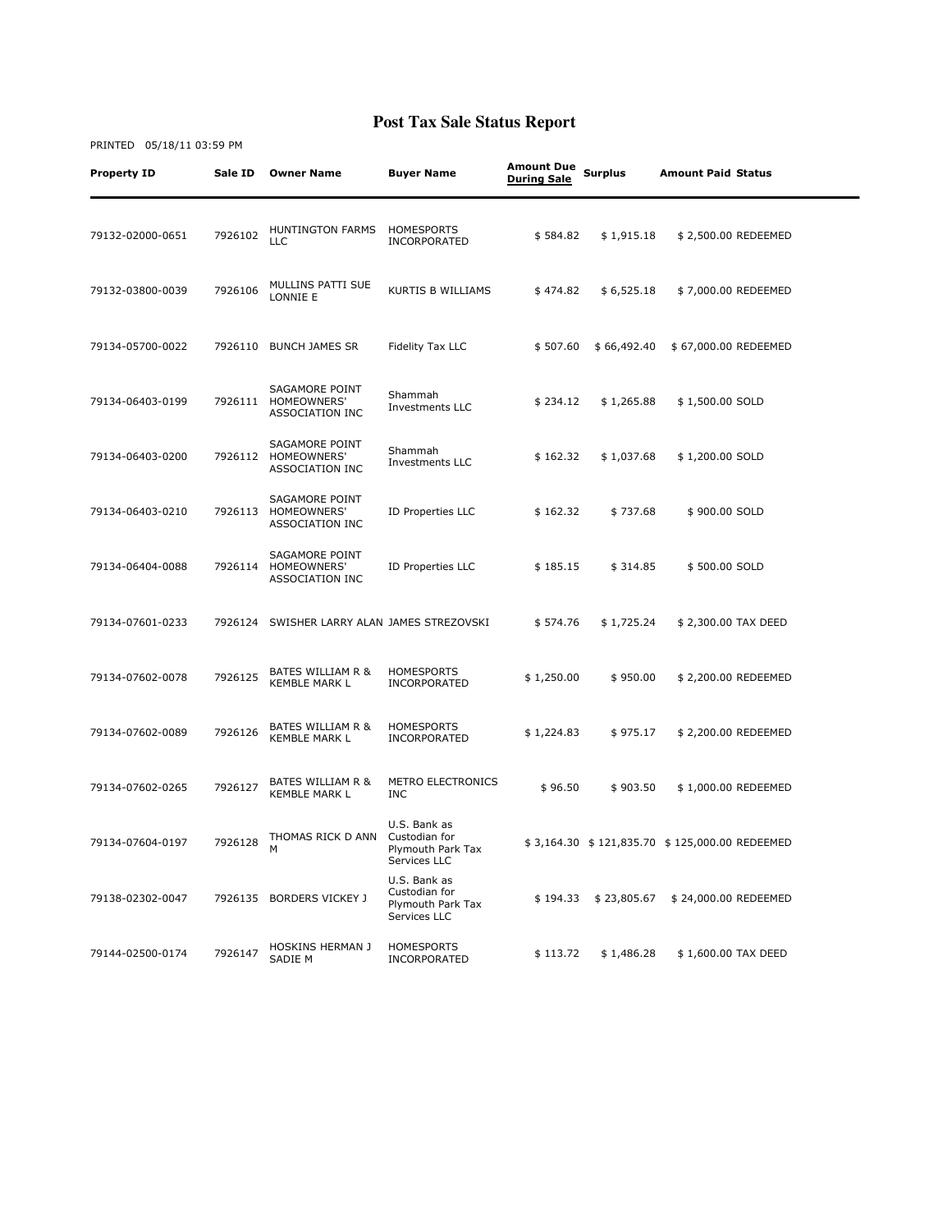#### Property ID Sale ID Owner Name Buyer Name Amount Due Amount Due<br>During Sale Surplus Amount Paid Status 79132-02000-0651 7926102 HUNTINGTON FARMS LLC HOMESPORTS HOMESPORIS<br>INCORPORATED \$584.82 \$1,915.18 \$2,500.00 REDEEMED 79132-03800-0039 7926106 MULLINS PATTI SUE KURTIS B WILLIAMS  $$474.82 $6,525.18 $7,000.00$  REDEEMED 79134-05700-0022 7926110 BUNCH JAMES SR Fidelity Tax LLC \$ 507.60 \$ 66,492.40 \$ 67,000.00 REDEEMED 79134-06403-0199 SAGAMORE POINT 7926111 HOMEOWNERS' ASSOCIATION INC Shammah Shamman<br>Investments LLC  $$ 234.12 \t$ 1,265.88 \t$ 1,500.00 SOLD$ 79134-06403-0200 SAGAMORE POINT 7926112 HOMEOWNERS' ASSOCIATION INC Shammah Shamman<br>Investments LLC \$162.32 \$1,037.68 \$1,200.00 SOLD 79134-06403-0210 7926113 SAGAMORE POINT HOMEOWNERS' ASSOCIATION INC ID Properties LLC  $$162.32 \t$737.68 \t$900.00 SOLD$ 79134-06404-0088 7926114 SAGAMORE POINT HOMEOWNERS' ASSOCIATION INC ID Properties LLC  $$185.15$   $$314.85$   $$500.00$  SOLD 79134-07601-0233 7926124 SWISHER LARRY ALAN JAMES STREZOVSKI \$ 574.76 \$ 1,725.24 \$ 2,300.00 TAX DEED 79134-07602-0078 7926125 BATES WILLIAM R & KEMBLE MARK L HOMESPORTS<br>INCORPORATED \$ 1,250.00 \$ 950.00 \$ 2,200.00 REDEEMED 79134-07602-0089 7926126 BATES WILLIAM R & KEMBLE MARK L HOMESPORTS INCORPORATED \$ 1,224.83 \$ 975.17 \$ 2,200.00 REDEEMED 79134-07602-0265 7926127 BATES WILLIAM R & KEMBLE MARK L METRO ELECTRONICS<br>INC \$ 96.50 \$ 903.50 \$ 1,000.00 REDEEMED 79134-07604-0197 7926128 THOMAS RICK D ANN M U.S. Bank as Custodian for Plymouth Park Tax Services LLC \$ 3,164.30 \$ 121,835.70 \$ 125,000.00 REDEEMED 79138-02302-0047 7926135 BORDERS VICKEY J U.S. Bank as Custodian for Plymouth Park Tax Services LLC \$ 194.33 \$ 23,805.67 \$ 24,000.00 REDEEMED 79144-02500-0174 7926147 HOSKINS HERMAN J SADIE M **HOMESPORTS** HOMESPORIS<br>INCORPORATED \$113.72 \$1,486.28 \$1,600.00 TAX DEED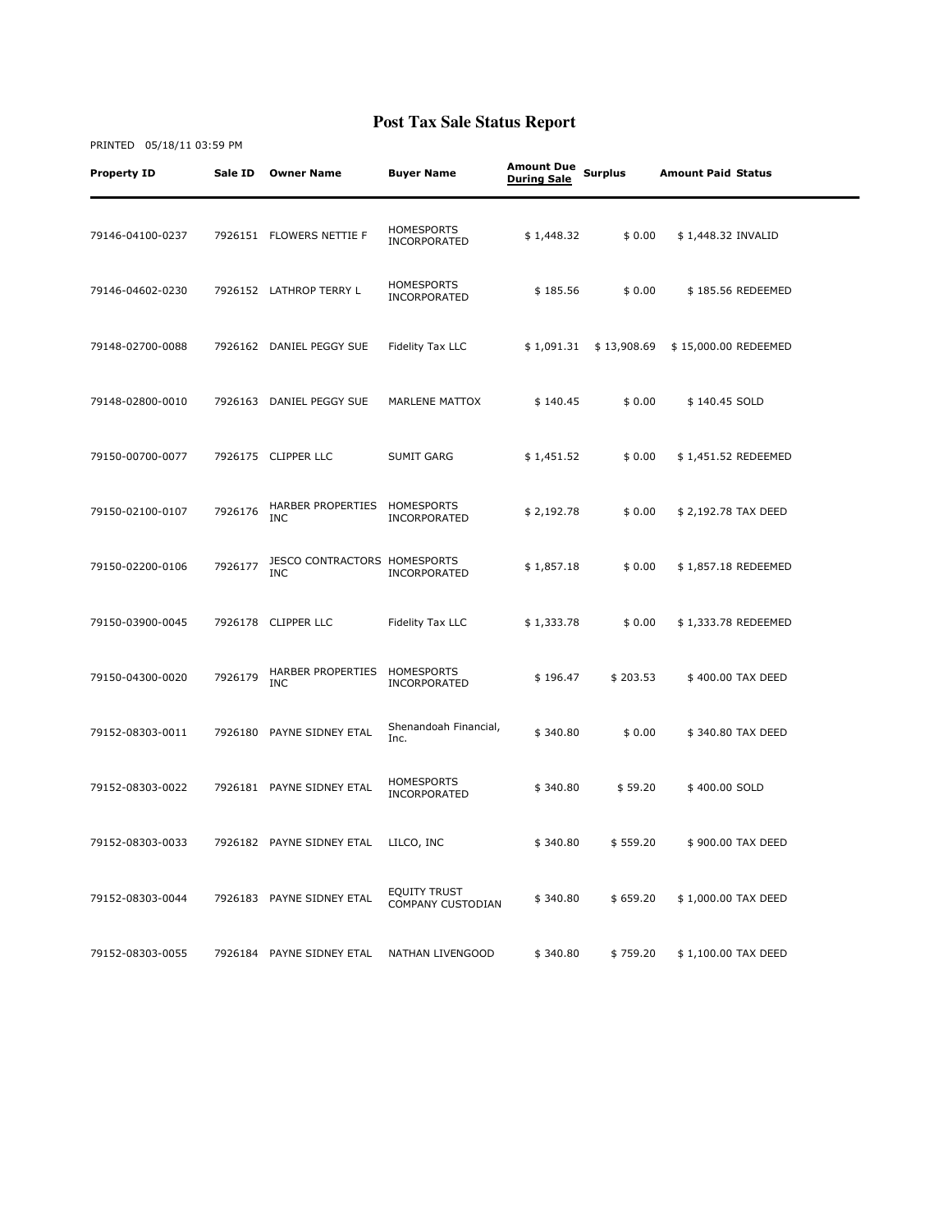| <b>Property ID</b> | Sale ID | <b>Owner Name</b>                                 | <b>Buyer Name</b>                        | <b>Amount Due</b><br><b>During Sale</b> | <b>Surplus</b> | <b>Amount Paid Status</b> |  |
|--------------------|---------|---------------------------------------------------|------------------------------------------|-----------------------------------------|----------------|---------------------------|--|
| 79146-04100-0237   |         | 7926151 FLOWERS NETTIE F                          | <b>HOMESPORTS</b><br>INCORPORATED        | \$1,448.32                              | \$0.00         | \$1,448.32 INVALID        |  |
| 79146-04602-0230   |         | 7926152 LATHROP TERRY L                           | <b>HOMESPORTS</b><br>INCORPORATED        | \$185.56                                | \$0.00         | \$185.56 REDEEMED         |  |
| 79148-02700-0088   |         | 7926162 DANIEL PEGGY SUE                          | Fidelity Tax LLC                         | \$1,091.31                              | \$13,908.69    | \$15,000.00 REDEEMED      |  |
| 79148-02800-0010   |         | 7926163 DANIEL PEGGY SUE                          | MARLENE MATTOX                           | \$140.45                                | \$0.00         | \$140.45 SOLD             |  |
| 79150-00700-0077   |         | 7926175 CLIPPER LLC                               | SUMIT GARG                               | \$1,451.52                              | \$0.00         | \$1,451.52 REDEEMED       |  |
| 79150-02100-0107   | 7926176 | HARBER PROPERTIES<br><b>INC</b>                   | HOMESPORTS<br>INCORPORATED               | \$2,192.78                              | \$0.00         | \$2,192.78 TAX DEED       |  |
| 79150-02200-0106   | 7926177 | <b>JESCO CONTRACTORS HOMESPORTS</b><br><b>INC</b> | INCORPORATED                             | \$1,857.18                              | \$0.00         | \$1,857.18 REDEEMED       |  |
| 79150-03900-0045   |         | 7926178 CLIPPER LLC                               | Fidelity Tax LLC                         | \$1,333.78                              | \$0.00         | \$1,333.78 REDEEMED       |  |
| 79150-04300-0020   | 7926179 | HARBER PROPERTIES<br><b>INC</b>                   | HOMESPORTS<br>INCORPORATED               | \$196.47                                | \$203.53       | \$400.00 TAX DEED         |  |
| 79152-08303-0011   |         | 7926180 PAYNE SIDNEY ETAL                         | Shenandoah Financial,<br>Inc.            | \$340.80                                | \$0.00         | \$340.80 TAX DEED         |  |
| 79152-08303-0022   |         | 7926181 PAYNE SIDNEY ETAL                         | <b>HOMESPORTS</b><br>INCORPORATED        | \$340.80                                | \$59.20        | \$400.00 SOLD             |  |
| 79152-08303-0033   |         | 7926182 PAYNE SIDNEY ETAL                         | LILCO, INC                               | \$340.80                                | \$559.20       | \$900.00 TAX DEED         |  |
| 79152-08303-0044   |         | 7926183 PAYNE SIDNEY ETAL                         | <b>EQUITY TRUST</b><br>COMPANY CUSTODIAN | \$340.80                                | \$659.20       | \$1,000.00 TAX DEED       |  |
| 79152-08303-0055   | 7926184 | PAYNE SIDNEY ETAL                                 | NATHAN LIVENGOOD                         | \$340.80                                | \$759.20       | \$1,100.00 TAX DEED       |  |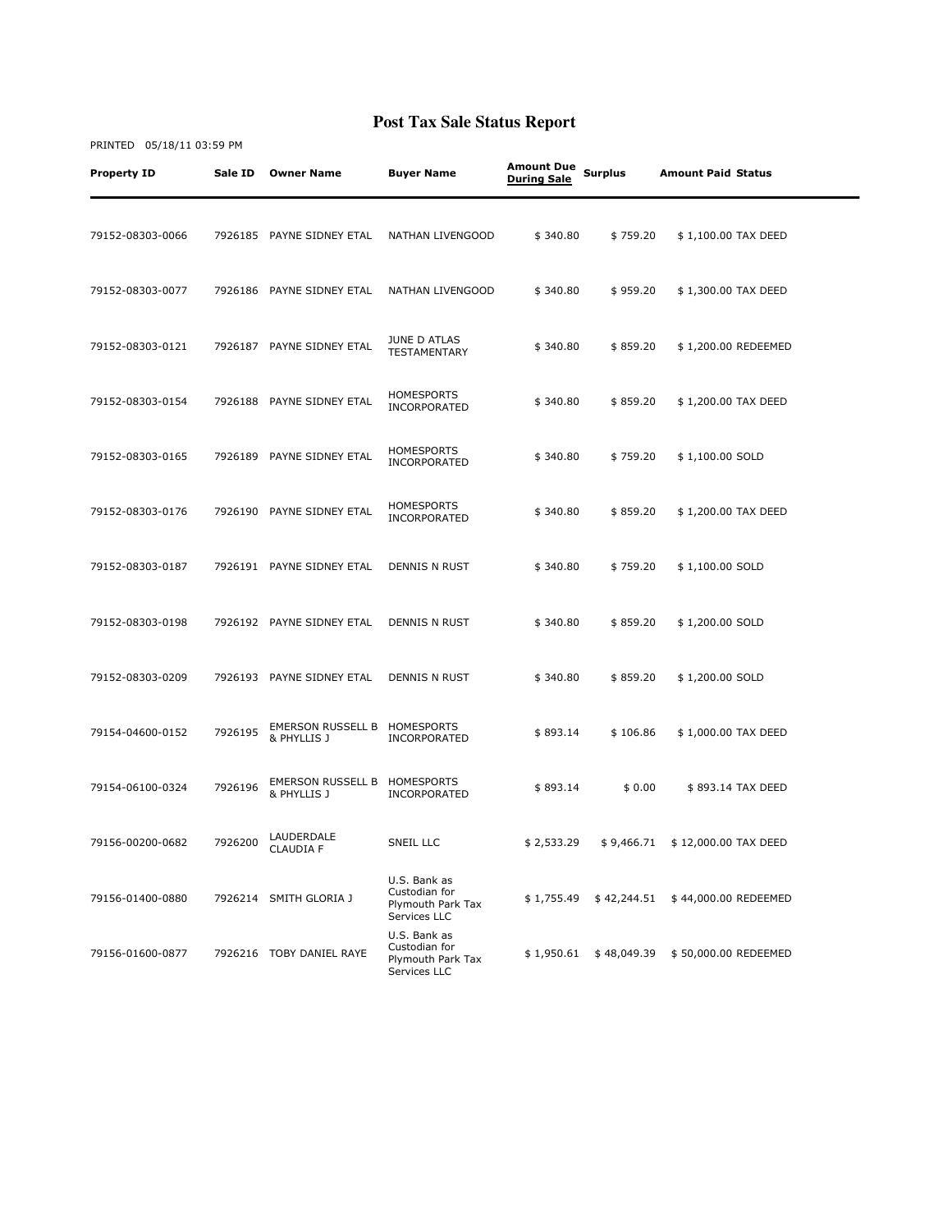| <b>Property ID</b> | Sale ID | <b>Owner Name</b>                       | Buyer Name                                                         | <b>Amount Due</b><br><b>During Sale</b> | <b>Surplus</b> | <b>Amount Paid Status</b> |
|--------------------|---------|-----------------------------------------|--------------------------------------------------------------------|-----------------------------------------|----------------|---------------------------|
| 79152-08303-0066   |         | 7926185 PAYNE SIDNEY ETAL               | NATHAN LIVENGOOD                                                   | \$340.80                                | \$759.20       | \$1,100.00 TAX DEED       |
| 79152-08303-0077   |         | 7926186 PAYNE SIDNEY ETAL               | NATHAN LIVENGOOD                                                   | \$340.80                                | \$959.20       | \$1,300.00 TAX DEED       |
| 79152-08303-0121   |         | 7926187 PAYNE SIDNEY ETAL               | JUNE D ATLAS<br><b>TESTAMENTARY</b>                                | \$340.80                                | \$859.20       | \$1,200.00 REDEEMED       |
| 79152-08303-0154   |         | 7926188 PAYNE SIDNEY ETAL               | <b>HOMESPORTS</b><br>INCORPORATED                                  | \$340.80                                | \$859.20       | \$1,200.00 TAX DEED       |
| 79152-08303-0165   |         | 7926189 PAYNE SIDNEY ETAL               | <b>HOMESPORTS</b><br>INCORPORATED                                  | \$340.80                                | \$759.20       | \$1,100.00 SOLD           |
| 79152-08303-0176   |         | 7926190 PAYNE SIDNEY ETAL               | <b>HOMESPORTS</b><br>INCORPORATED                                  | \$340.80                                | \$859.20       | \$1,200.00 TAX DEED       |
| 79152-08303-0187   |         | 7926191 PAYNE SIDNEY ETAL               | DENNIS N RUST                                                      | \$340.80                                | \$759.20       | \$1,100.00 SOLD           |
| 79152-08303-0198   |         | 7926192 PAYNE SIDNEY ETAL               | DENNIS N RUST                                                      | \$340.80                                | \$859.20       | \$1,200.00 SOLD           |
| 79152-08303-0209   |         | 7926193 PAYNE SIDNEY ETAL               | DENNIS N RUST                                                      | \$340.80                                | \$859.20       | \$1,200.00 SOLD           |
| 79154-04600-0152   | 7926195 | <b>EMERSON RUSSELL B</b><br>& PHYLLIS J | HOMESPORTS<br><b>INCORPORATED</b>                                  | \$893.14                                | \$106.86       | \$1,000.00 TAX DEED       |
| 79154-06100-0324   | 7926196 | <b>EMERSON RUSSELL B</b><br>& PHYLLIS J | HOMESPORTS<br>INCORPORATED                                         | \$893.14                                | \$0.00         | \$893.14 TAX DEED         |
| 79156-00200-0682   | 7926200 | LAUDERDALE<br><b>CLAUDIA F</b>          | SNEIL LLC                                                          | \$2,533.29                              | \$9,466.71     | \$12,000.00 TAX DEED      |
| 79156-01400-0880   |         | 7926214 SMITH GLORIA J                  | U.S. Bank as<br>Custodian for<br>Plymouth Park Tax<br>Services LLC | \$1,755.49                              | \$42,244.51    | \$44,000.00 REDEEMED      |
| 79156-01600-0877   |         | 7926216 TOBY DANIEL RAYE                | U.S. Bank as<br>Custodian for<br>Plymouth Park Tax<br>Services LLC | \$1,950.61                              | \$48,049.39    | \$50,000.00 REDEEMED      |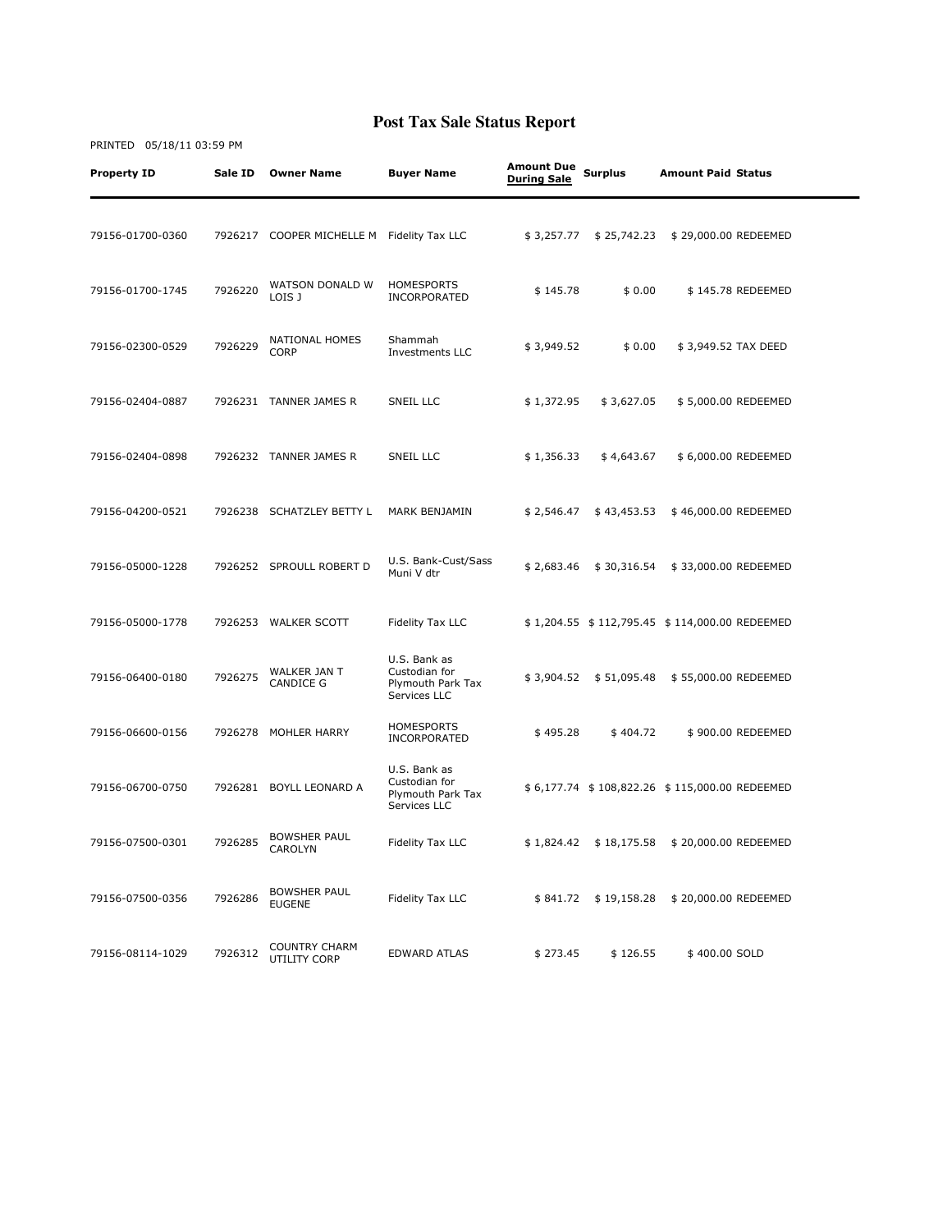| <b>Property ID</b> | Sale ID | <b>Owner Name</b>                          | <b>Buyer Name</b>                                                  | Amount Due<br><b>During Sale</b> | <b>Surplus</b> | <b>Amount Paid Status</b>                     |                   |
|--------------------|---------|--------------------------------------------|--------------------------------------------------------------------|----------------------------------|----------------|-----------------------------------------------|-------------------|
| 79156-01700-0360   |         | 7926217 COOPER MICHELLE M Fidelity Tax LLC |                                                                    | \$3,257.77                       | \$25,742.23    | \$29,000.00 REDEEMED                          |                   |
| 79156-01700-1745   | 7926220 | WATSON DONALD W<br>LOIS J                  | HOMESPORTS<br>INCORPORATED                                         | \$145.78                         | \$0.00         |                                               | \$145.78 REDEEMED |
| 79156-02300-0529   | 7926229 | <b>NATIONAL HOMES</b><br><b>CORP</b>       | Shammah<br>Investments LLC                                         | \$3,949.52                       | \$0.00         | \$3,949.52 TAX DEED                           |                   |
| 79156-02404-0887   |         | 7926231 TANNER JAMES R                     | SNEIL LLC                                                          | \$ 1,372.95                      | \$3,627.05     | \$5,000.00 REDEEMED                           |                   |
| 79156-02404-0898   |         | 7926232 TANNER JAMES R                     | SNEIL LLC                                                          | \$1,356.33                       | \$4,643.67     | \$6,000.00 REDEEMED                           |                   |
| 79156-04200-0521   | 7926238 | SCHATZLEY BETTY L                          | MARK BENJAMIN                                                      | \$2,546.47                       | \$43,453.53    | \$46,000.00 REDEEMED                          |                   |
| 79156-05000-1228   |         | 7926252 SPROULL ROBERT D                   | U.S. Bank-Cust/Sass<br>Muni V dtr                                  | \$2,683.46                       | \$30,316.54    | \$33,000.00 REDEEMED                          |                   |
| 79156-05000-1778   |         | 7926253 WALKER SCOTT                       | Fidelity Tax LLC                                                   |                                  |                | \$1,204.55 \$112,795.45 \$114,000.00 REDEEMED |                   |
| 79156-06400-0180   | 7926275 | WALKER JAN T<br><b>CANDICE G</b>           | U.S. Bank as<br>Custodian for<br>Plymouth Park Tax<br>Services LLC | \$3,904.52                       | \$51,095.48    | \$55,000.00 REDEEMED                          |                   |
| 79156-06600-0156   |         | 7926278 MOHLER HARRY                       | <b>HOMESPORTS</b><br>INCORPORATED                                  | \$495.28                         | \$404.72       |                                               | \$900.00 REDEEMED |
| 79156-06700-0750   |         | 7926281 BOYLL LEONARD A                    | U.S. Bank as<br>Custodian for<br>Plymouth Park Tax<br>Services LLC |                                  |                | \$6,177.74 \$108,822.26 \$115,000.00 REDEEMED |                   |
| 79156-07500-0301   | 7926285 | <b>BOWSHER PAUL</b><br>CAROLYN             | Fidelity Tax LLC                                                   | \$1,824.42                       | \$18,175.58    | \$20,000.00 REDEEMED                          |                   |
| 79156-07500-0356   | 7926286 | <b>BOWSHER PAUL</b><br><b>EUGENE</b>       | Fidelity Tax LLC                                                   | \$841.72                         | \$19,158.28    | \$20,000.00 REDEEMED                          |                   |
| 79156-08114-1029   | 7926312 | <b>COUNTRY CHARM</b><br>UTILITY CORP       | <b>EDWARD ATLAS</b>                                                | \$273.45                         | \$126.55       | \$400.00 SOLD                                 |                   |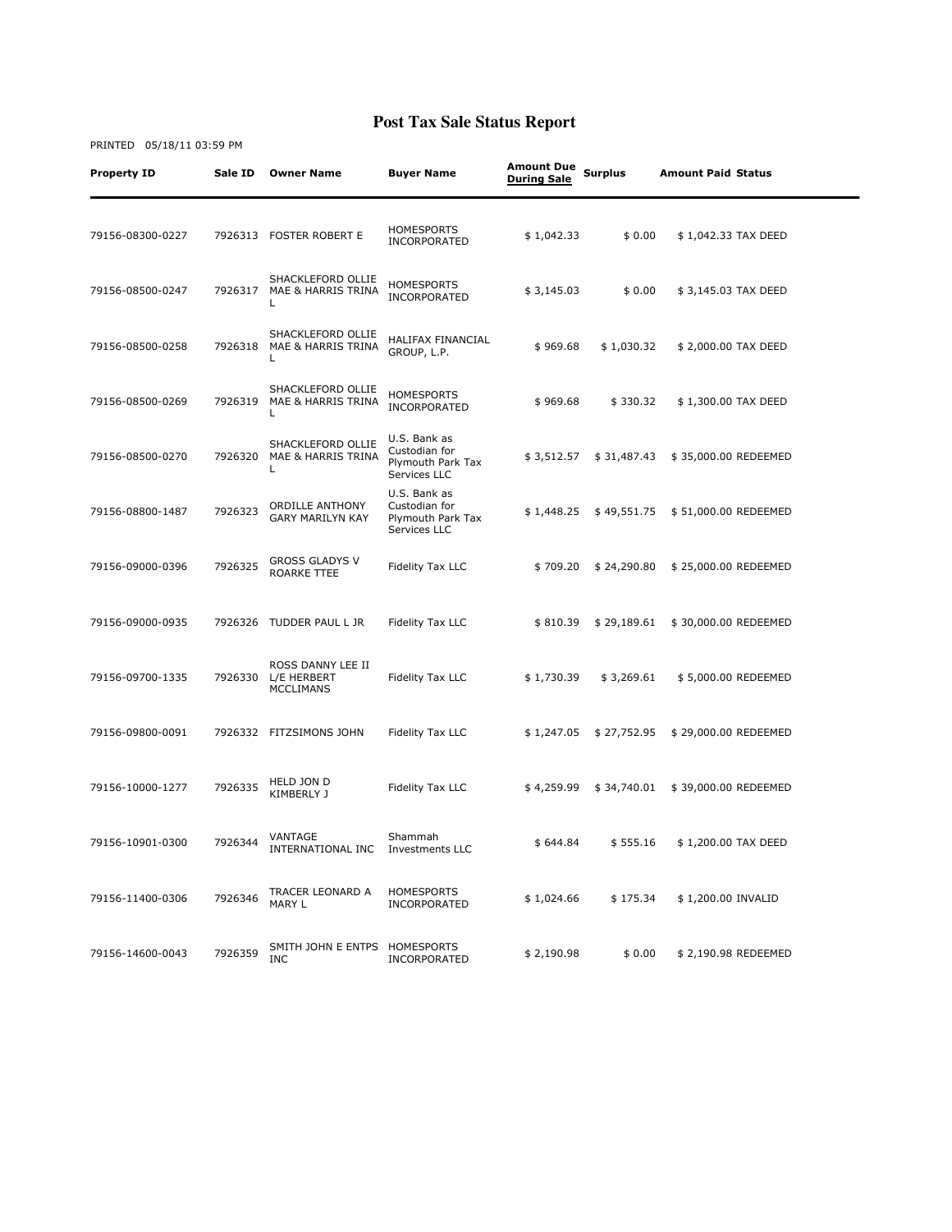| <b>Property ID</b> | Sale ID | <b>Owner Name</b>                                    | <b>Buyer Name</b>                                                  | <b>Amount Due</b><br><b>During Sale</b> | <b>Surplus</b> | <b>Amount Paid Status</b> |  |
|--------------------|---------|------------------------------------------------------|--------------------------------------------------------------------|-----------------------------------------|----------------|---------------------------|--|
| 79156-08300-0227   |         | 7926313 FOSTER ROBERT E                              | <b>HOMESPORTS</b><br>INCORPORATED                                  | \$1,042.33                              | \$0.00         | \$1,042.33 TAX DEED       |  |
| 79156-08500-0247   | 7926317 | SHACKLEFORD OLLIE<br>MAE & HARRIS TRINA<br>L         | <b>HOMESPORTS</b><br><b>INCORPORATED</b>                           | \$3,145.03                              | \$0.00         | \$3,145.03 TAX DEED       |  |
| 79156-08500-0258   | 7926318 | SHACKLEFORD OLLIE<br>MAE & HARRIS TRINA<br>L         | HALIFAX FINANCIAL<br>GROUP, L.P.                                   | \$969.68                                | \$1,030.32     | \$2,000.00 TAX DEED       |  |
| 79156-08500-0269   | 7926319 | SHACKLEFORD OLLIE<br>MAE & HARRIS TRINA<br>L         | <b>HOMESPORTS</b><br>INCORPORATED                                  | \$969.68                                | \$330.32       | \$1,300.00 TAX DEED       |  |
| 79156-08500-0270   | 7926320 | SHACKLEFORD OLLIE<br>MAE & HARRIS TRINA<br>L         | U.S. Bank as<br>Custodian for<br>Plymouth Park Tax<br>Services LLC | \$3,512.57                              | \$31,487.43    | \$35,000.00 REDEEMED      |  |
| 79156-08800-1487   | 7926323 | <b>ORDILLE ANTHONY</b><br><b>GARY MARILYN KAY</b>    | U.S. Bank as<br>Custodian for<br>Plymouth Park Tax<br>Services LLC | \$1,448.25                              | \$49,551.75    | \$51,000.00 REDEEMED      |  |
| 79156-09000-0396   | 7926325 | <b>GROSS GLADYS V</b><br>ROARKE TTEE                 | Fidelity Tax LLC                                                   | \$709.20                                | \$24,290.80    | \$25,000.00 REDEEMED      |  |
| 79156-09000-0935   | 7926326 | TUDDER PAUL L JR                                     | Fidelity Tax LLC                                                   | \$810.39                                | \$29,189.61    | \$30,000.00 REDEEMED      |  |
| 79156-09700-1335   | 7926330 | ROSS DANNY LEE II<br>L/E HERBERT<br><b>MCCLIMANS</b> | Fidelity Tax LLC                                                   | \$1,730.39                              | \$3,269.61     | \$5,000.00 REDEEMED       |  |
| 79156-09800-0091   |         | 7926332 FITZSIMONS JOHN                              | Fidelity Tax LLC                                                   | \$1,247.05                              | \$27,752.95    | \$29,000.00 REDEEMED      |  |
| 79156-10000-1277   | 7926335 | HELD JON D<br>KIMBERLY J                             | Fidelity Tax LLC                                                   | \$4,259.99                              | \$34,740.01    | \$39,000.00 REDEEMED      |  |
| 79156-10901-0300   | 7926344 | VANTAGE<br>INTERNATIONAL INC                         | Shammah<br><b>Investments LLC</b>                                  | \$644.84                                | \$555.16       | \$1,200.00 TAX DEED       |  |
| 79156-11400-0306   | 7926346 | TRACER LEONARD A<br>MARY L                           | <b>HOMESPORTS</b><br>INCORPORATED                                  | \$1,024.66                              | \$175.34       | \$1,200.00 INVALID        |  |
| 79156-14600-0043   | 7926359 | SMITH JOHN E ENTPS HOMESPORTS<br><b>INC</b>          | INCORPORATED                                                       | \$2,190.98                              | \$0.00         | \$2,190.98 REDEEMED       |  |